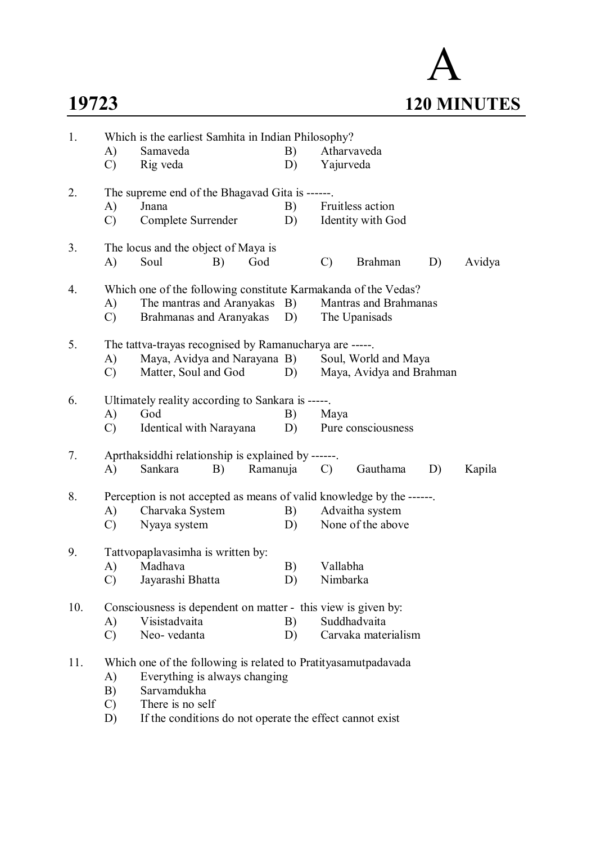# A **19723 120 MINUTES**

| 1.  | Which is the earliest Samhita in Indian Philosophy?                  |                                                                |    |               |                          |    |        |  |  |  |  |
|-----|----------------------------------------------------------------------|----------------------------------------------------------------|----|---------------|--------------------------|----|--------|--|--|--|--|
|     | A)                                                                   | Samaveda                                                       | B) |               | Atharvaveda              |    |        |  |  |  |  |
|     | $\mathcal{C}$                                                        | Rig veda                                                       | D) | Yajurveda     |                          |    |        |  |  |  |  |
| 2.  |                                                                      | The supreme end of the Bhagavad Gita is ------                 |    |               |                          |    |        |  |  |  |  |
|     | A)                                                                   | Jnana                                                          | B) |               | Fruitless action         |    |        |  |  |  |  |
|     | $\mathcal{C}$                                                        | Complete Surrender                                             | D) |               | Identity with God        |    |        |  |  |  |  |
| 3.  |                                                                      | The locus and the object of Maya is                            |    |               |                          |    |        |  |  |  |  |
|     | A)                                                                   | Soul<br>B)<br>God                                              |    | $\mathcal{C}$ | <b>Brahman</b>           | D) | Avidya |  |  |  |  |
| 4.  | Which one of the following constitute Karmakanda of the Vedas?       |                                                                |    |               |                          |    |        |  |  |  |  |
|     | A)                                                                   | The mantras and Aranyakas B)                                   |    |               | Mantras and Brahmanas    |    |        |  |  |  |  |
|     | $\mathcal{C}$                                                        | Brahmanas and Aranyakas D)                                     |    |               | The Upanisads            |    |        |  |  |  |  |
| 5.  | The tattva-trayas recognised by Ramanucharya are -----.              |                                                                |    |               |                          |    |        |  |  |  |  |
|     | A)                                                                   | Maya, Avidya and Narayana B) Soul, World and Maya              |    |               |                          |    |        |  |  |  |  |
|     | $\mathcal{C}$                                                        | Matter, Soul and God                                           | D) |               | Maya, Avidya and Brahman |    |        |  |  |  |  |
| 6.  |                                                                      | Ultimately reality according to Sankara is -----.              |    |               |                          |    |        |  |  |  |  |
|     | A)                                                                   | God                                                            | B) | Maya          |                          |    |        |  |  |  |  |
|     | $\mathcal{C}$                                                        | Identical with Narayana                                        | D) |               | Pure consciousness       |    |        |  |  |  |  |
| 7.  |                                                                      | Aprthaksiddhi relationship is explained by ------.             |    |               |                          |    |        |  |  |  |  |
|     | A)                                                                   | Sankara<br>B)<br>Ramanuja                                      |    | C             | Gauthama                 | D) | Kapila |  |  |  |  |
| 8.  | Perception is not accepted as means of valid knowledge by the ------ |                                                                |    |               |                          |    |        |  |  |  |  |
|     | A)                                                                   | Charvaka System                                                | B) |               | Advaitha system          |    |        |  |  |  |  |
|     | C)                                                                   | Nyaya system                                                   | D) |               | None of the above        |    |        |  |  |  |  |
| 9.  | Tattvopaplavasimha is written by:                                    |                                                                |    |               |                          |    |        |  |  |  |  |
|     | A)                                                                   | Madhava                                                        | B) | Vallabha      |                          |    |        |  |  |  |  |
|     |                                                                      | C) Jayarashi Bhatta                                            | D) | Nimbarka      |                          |    |        |  |  |  |  |
| 10. | Consciousness is dependent on matter - this view is given by:        |                                                                |    |               |                          |    |        |  |  |  |  |
|     | A)                                                                   | Visistadvaita                                                  | B) |               | Suddhadvaita             |    |        |  |  |  |  |
|     | $\mathcal{C}$                                                        | Neo-vedanta                                                    | D) |               | Carvaka materialism      |    |        |  |  |  |  |
| 11. |                                                                      | Which one of the following is related to Pratityasamutpadavada |    |               |                          |    |        |  |  |  |  |
|     | A)                                                                   | Everything is always changing                                  |    |               |                          |    |        |  |  |  |  |
|     | B)                                                                   | Sarvamdukha                                                    |    |               |                          |    |        |  |  |  |  |
|     | C)                                                                   | There is no self                                               |    |               |                          |    |        |  |  |  |  |

D) If the conditions do not operate the effect cannot exist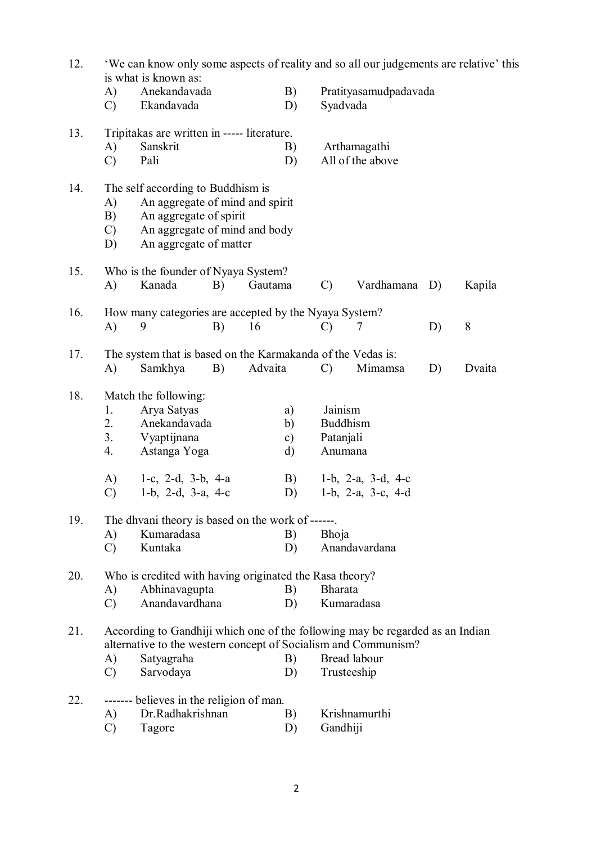| 12. | 'We can know only some aspects of reality and so all our judgements are relative' this<br>is what is known as: |                                                                                                                                                                            |    |          |                                             |                                                    |                                                |    |        |
|-----|----------------------------------------------------------------------------------------------------------------|----------------------------------------------------------------------------------------------------------------------------------------------------------------------------|----|----------|---------------------------------------------|----------------------------------------------------|------------------------------------------------|----|--------|
|     | A)<br>$\mathcal{C}$                                                                                            | Anekandavada<br>Ekandavada                                                                                                                                                 |    | B)<br>D) | Pratityasamudpadavada<br>Syadvada           |                                                    |                                                |    |        |
| 13. | A)<br>$\mathcal{C}$                                                                                            | Tripitakas are written in ----- literature.<br>Sanskrit<br>Pali                                                                                                            |    |          | B)<br>D)                                    |                                                    | Arthamagathi<br>All of the above               |    |        |
| 14. | A)<br>B)<br>$\mathcal{C}$<br>D)                                                                                | The self according to Buddhism is<br>An aggregate of mind and spirit<br>An aggregate of spirit<br>An aggregate of mind and body<br>An aggregate of matter                  |    |          |                                             |                                                    |                                                |    |        |
| 15. | $\bf{A}$                                                                                                       | Who is the founder of Nyaya System?<br>Kanada<br>B)<br>Gautama                                                                                                             |    |          |                                             | $\mathcal{C}$                                      | Vardhamana                                     | D) | Kapila |
| 16. | A)                                                                                                             | How many categories are accepted by the Nyaya System?<br>9                                                                                                                 | B) | 16       |                                             | $\mathcal{C}$                                      | 7                                              | D) | 8      |
| 17. | A)                                                                                                             | The system that is based on the Karmakanda of the Vedas is:<br>Samkhya                                                                                                     | B) | Advaita  |                                             | $\mathcal{C}$                                      | Mimamsa                                        | D) | Dvaita |
| 18. | 1.<br>2.<br>3.<br>4.<br>A)<br>$\mathcal{C}$                                                                    | Match the following:<br>Arya Satyas<br>Anekandavada<br>Vyaptijnana<br>Astanga Yoga<br>1-c, 2-d, 3-b, 4-a<br>1-b, 2-d, 3-a, 4-c                                             |    |          | a)<br>b)<br>$\mathbf{c})$<br>d)<br>B)<br>D) | Jainism<br><b>Buddhism</b><br>Patanjali<br>Anumana | 1-b, 2-a, $3-d$ , 4-c<br>1-b, 2-a, $3-c$ , 4-d |    |        |
| 19. |                                                                                                                | The dhyani theory is based on the work of ------                                                                                                                           |    |          |                                             |                                                    |                                                |    |        |
|     | $\bf{A}$<br>$\mathcal{C}$                                                                                      | Kumaradasa<br>Kuntaka                                                                                                                                                      |    |          | B)<br>D)                                    | <b>Bhoja</b>                                       | Anandavardana                                  |    |        |
| 20. | A)<br>$\mathcal{C}$                                                                                            | Who is credited with having originated the Rasa theory?<br>Abhinavagupta<br>Anandavardhana                                                                                 |    |          | B)<br>D)                                    | <b>Bharata</b>                                     | Kumaradasa                                     |    |        |
| 21. | A)<br>$\mathcal{C}$                                                                                            | According to Gandhiji which one of the following may be regarded as an Indian<br>alternative to the western concept of Socialism and Communism?<br>Satyagraha<br>Sarvodaya |    |          | B)<br>D)                                    | Trusteeship                                        | Bread labour                                   |    |        |
| 22. | A)<br>$\mathcal{C}$                                                                                            | ------- believes in the religion of man.<br>Dr.Radhakrishnan<br>Tagore                                                                                                     |    |          | B)<br>D)                                    | Gandhiji                                           | Krishnamurthi                                  |    |        |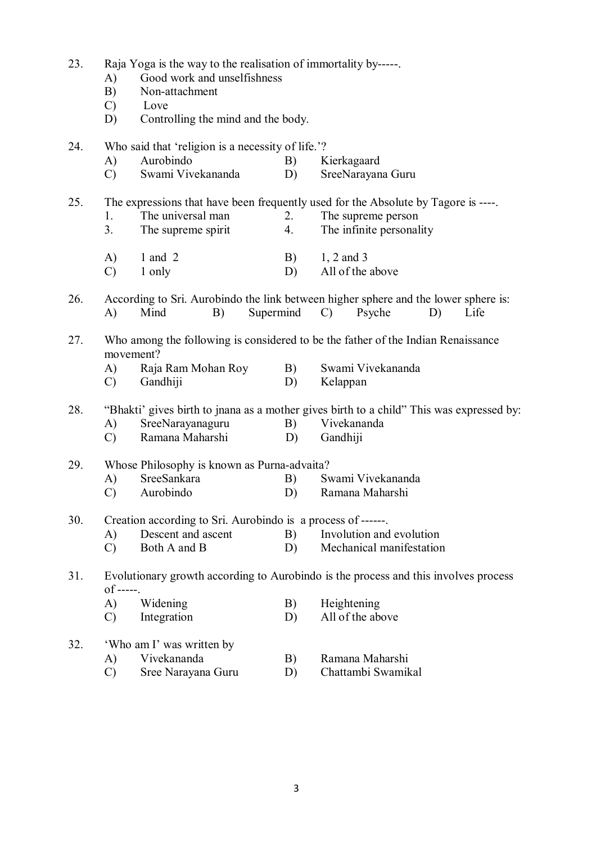| 23. | A)<br>B)<br>$\mathcal{C}$<br>D) | Raja Yoga is the way to the realisation of immortality by-----<br>Good work and unselfishness<br>Non-attachment<br>Love<br>Controlling the mind and the body.                |          |                                                                                                                                     |  |  |  |  |  |
|-----|---------------------------------|------------------------------------------------------------------------------------------------------------------------------------------------------------------------------|----------|-------------------------------------------------------------------------------------------------------------------------------------|--|--|--|--|--|
| 24. | A)<br>$\mathcal{C}$             | Who said that 'religion is a necessity of life.'?<br>Aurobindo<br>Swami Vivekananda                                                                                          | B)<br>D) | Kierkagaard<br>SreeNarayana Guru                                                                                                    |  |  |  |  |  |
| 25. | 1.<br>3.                        | The universal man<br>The supreme spirit                                                                                                                                      | 2.<br>4. | The expressions that have been frequently used for the Absolute by Tagore is ----<br>The supreme person<br>The infinite personality |  |  |  |  |  |
|     | A)<br>$\mathcal{C}$             | $1$ and $2$<br>1 only                                                                                                                                                        | B)<br>D) | 1, 2 and 3<br>All of the above                                                                                                      |  |  |  |  |  |
| 26. | A)                              | Supermind<br>Mind<br>B)                                                                                                                                                      |          | According to Sri. Aurobindo the link between higher sphere and the lower sphere is:<br>$\mathcal{C}$<br>Psyche<br>D)<br>Life        |  |  |  |  |  |
| 27. | A)<br>$\mathcal{C}$             | Who among the following is considered to be the father of the Indian Renaissance<br>movement?<br>Swami Vivekananda<br>Raja Ram Mohan Roy<br>B)<br>Gandhiji<br>D)<br>Kelappan |          |                                                                                                                                     |  |  |  |  |  |
| 28. | A)<br>$\mathcal{C}$             | SreeNarayanaguru<br>Ramana Maharshi                                                                                                                                          | B)<br>D) | "Bhakti' gives birth to jnana as a mother gives birth to a child" This was expressed by:<br>Vivekananda<br>Gandhiji                 |  |  |  |  |  |
| 29. | A)<br>$\mathcal{C}$             | Whose Philosophy is known as Purna-advaita?<br>SreeSankara<br>Aurobindo                                                                                                      | B)<br>D) | Swami Vivekananda<br>Ramana Maharshi                                                                                                |  |  |  |  |  |
| 30. | A)<br>$\mathcal{C}$             | Creation according to Sri. Aurobindo is a process of ------.<br>Descent and ascent<br>Both A and B                                                                           | B)<br>D) | Involution and evolution<br>Mechanical manifestation                                                                                |  |  |  |  |  |
| 31. | $of$ -----.                     |                                                                                                                                                                              |          | Evolutionary growth according to Aurobindo is the process and this involves process                                                 |  |  |  |  |  |
|     | A)<br>$\mathcal{C}$             | Widening<br>Integration                                                                                                                                                      | B)<br>D) | Heightening<br>All of the above                                                                                                     |  |  |  |  |  |
| 32. | A)<br>$\mathcal{C}$             | 'Who am I' was written by<br>Vivekananda<br>Sree Narayana Guru                                                                                                               | B)<br>D) | Ramana Maharshi<br>Chattambi Swamikal                                                                                               |  |  |  |  |  |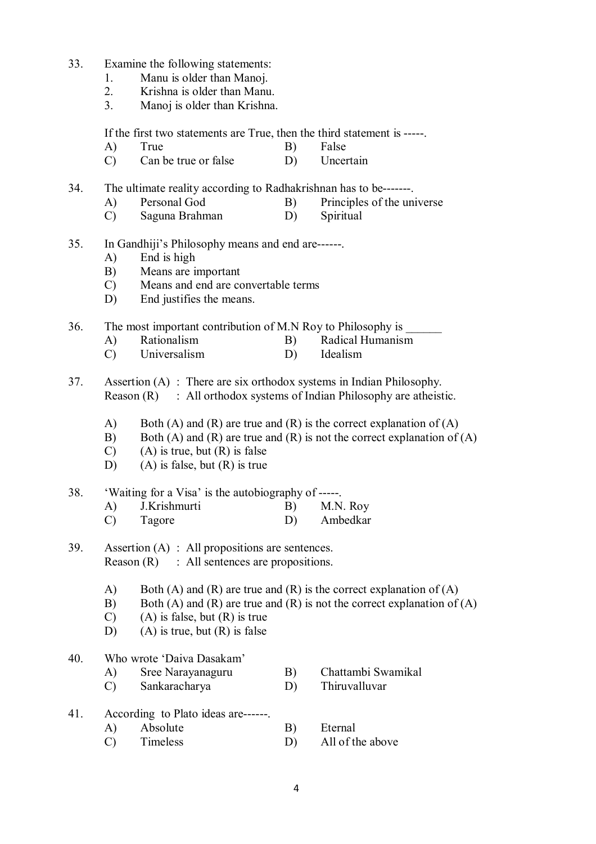- 33. Examine the following statements:
	- 1. Manu is older than Manoj.
	- 2. Krishna is older than Manu.
	- 3. Manoj is older than Krishna.

If the first two statements are True, then the third statement is -----.

- A) True B) False
- C) Can be true or false D) Uncertain
- 34. The ultimate reality according to Radhakrishnan has to be-------.
	- A) Personal God B) Principles of the universe
	- C) Saguna Brahman D) Spiritual
- 35. In Gandhiji's Philosophy means and end are------.
	- A) End is high
	- B) Means are important
	- C) Means and end are convertable terms
	- D) End justifies the means.

36. The most important contribution of M.N Roy to Philosophy is

- A) Rationalism B) Radical Humanism
- C) Universalism D) Idealism
- 37. Assertion (A) : There are six orthodox systems in Indian Philosophy. Reason  $(R)$ : All orthodox systems of Indian Philosophy are atheistic.
	- A) Both (A) and (R) are true and (R) is the correct explanation of (A)
	- B) Both (A) and (R) are true and (R) is not the correct explanation of (A)
	- $(C)$  (A) is true, but  $(R)$  is false
	- D) (A) is false, but (R) is true

#### 38. 'Waiting for a Visa' is the autobiography of -----.

- A) J.Krishmurti B) M.N. Roy C) Tagore D) Ambedkar
- 39. Assertion (A) : All propositions are sentences. Reason  $(R)$ : All sentences are propositions.
	- A) Both (A) and (R) are true and (R) is the correct explanation of (A)
	- B) Both (A) and (R) are true and (R) is not the correct explanation of (A)
	- C) (A) is false, but (R) is true
	- D) (A) is true, but  $(R)$  is false

#### 40. Who wrote 'Daiva Dasakam'

- A) Sree Narayanaguru B) Chattambi Swamikal
- C) Sankaracharya D) Thiruvalluvar
- 41. According to Plato ideas are------.
	- A) Absolute B) Eternal
	- C) Timeless D) All of the above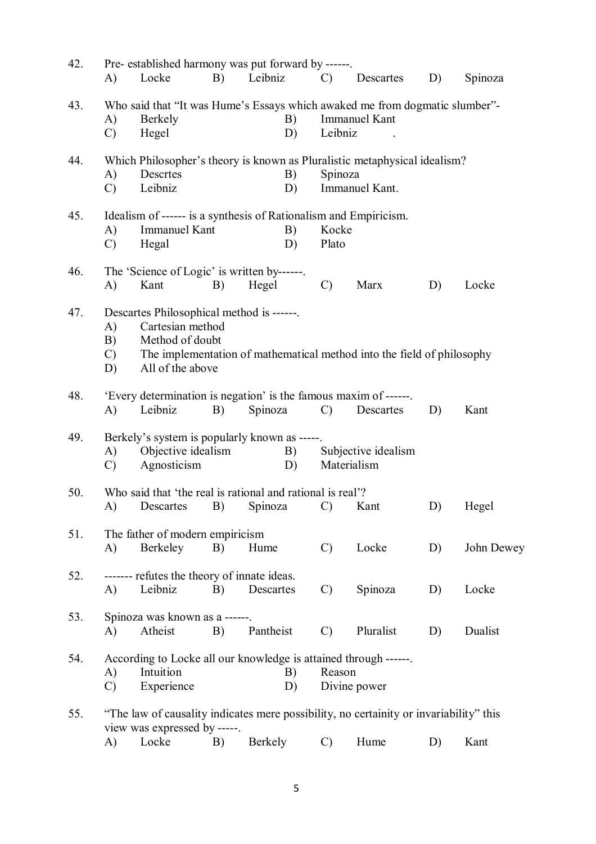| 42. | A)                              | Pre- established harmony was put forward by ------.<br>Locke                                                           | B) | Leibniz   |          | $\mathcal{C}$  | Descartes                                                              | D) | Spinoza    |
|-----|---------------------------------|------------------------------------------------------------------------------------------------------------------------|----|-----------|----------|----------------|------------------------------------------------------------------------|----|------------|
| 43. | A)<br>$\mathcal{C}$             | Who said that "It was Hume's Essays which awaked me from dogmatic slumber"-<br>Berkely<br>Hegel                        |    |           | B)<br>D) | Leibniz        | <b>Immanuel Kant</b>                                                   |    |            |
| 44. | A)<br>$\mathcal{C}$             | Which Philosopher's theory is known as Pluralistic metaphysical idealism?<br>Descrtes<br>Leibniz                       |    |           | B)<br>D) | Spinoza        | Immanuel Kant.                                                         |    |            |
| 45. | A)<br>$\mathcal{C}$             | Idealism of ------ is a synthesis of Rationalism and Empiricism.<br><b>Immanuel Kant</b><br>Hegal                      |    |           | B)<br>D) | Kocke<br>Plato |                                                                        |    |            |
| 46. | A)                              | The 'Science of Logic' is written by------.<br>Kant                                                                    | B) | Hegel     |          | $\mathcal{C}$  | Marx                                                                   | D) | Locke      |
| 47. | A)<br>B)<br>$\mathcal{C}$<br>D) | Descartes Philosophical method is ------.<br>Cartesian method<br>Method of doubt<br>All of the above                   |    |           |          |                | The implementation of mathematical method into the field of philosophy |    |            |
| 48. | A)                              | 'Every determination is negation' is the famous maxim of ------.<br>Leibniz                                            | B) | Spinoza   |          | $\mathcal{C}$  | Descartes                                                              | D) | Kant       |
| 49. | A)<br>$\mathcal{C}$             | Berkely's system is popularly known as -----.<br>Objective idealism<br>Agnosticism                                     |    |           | B)<br>D) |                | Subjective idealism<br>Materialism                                     |    |            |
| 50. | A)                              | Who said that 'the real is rational and rational is real'?<br>Descartes                                                | B) | Spinoza   |          | $\mathcal{C}$  | Kant                                                                   | D) | Hegel      |
| 51. | A)                              | The father of modern empiricism<br>Berkeley                                                                            | B) | Hume      |          | $\mathcal{C}$  | Locke                                                                  | D) | John Dewey |
| 52. | A)                              | ------- refutes the theory of innate ideas.<br>Leibniz                                                                 | B) | Descartes |          | $\mathcal{C}$  | Spinoza                                                                | D) | Locke      |
| 53. | A)                              | Spinoza was known as a ------.<br>Atheist                                                                              | B) | Pantheist |          | $\mathcal{C}$  | Pluralist                                                              | D) | Dualist    |
| 54. | A)<br>$\mathcal{C}$             | According to Locke all our knowledge is attained through ------.<br>Intuition<br>Experience                            |    |           | B)<br>D) | Reason         | Divine power                                                           |    |            |
| 55. |                                 | "The law of causality indicates mere possibility, no certainity or invariability" this<br>view was expressed by -----. |    |           |          |                |                                                                        |    |            |

view was expressed by  $A$ ) Locke  $(A)$  B) Berkely C) Hume D) Kant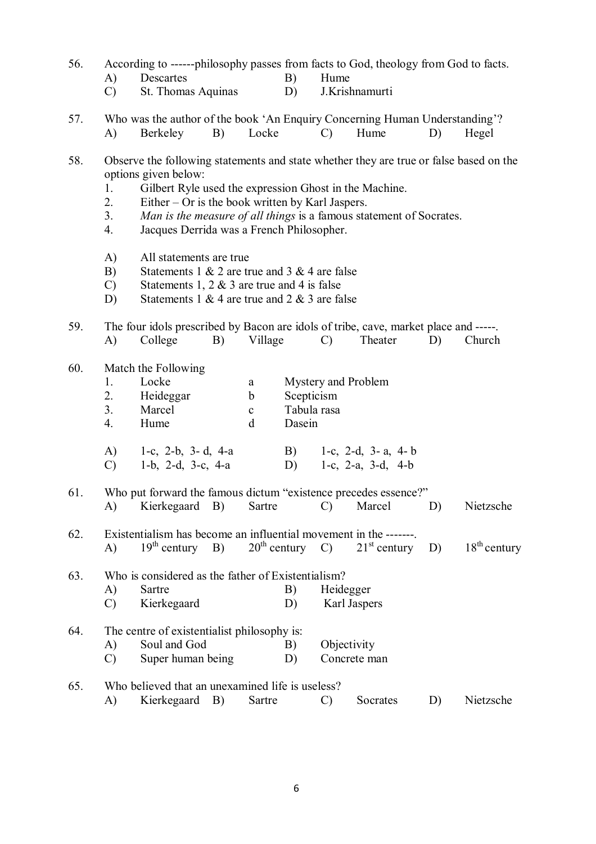- 56. According to ------philosophy passes from facts to God, theology from God to facts.
	- A) Descartes B) Hume
	- C) St. Thomas Aquinas D) J.Krishnamurti
- 57. Who was the author of the book 'An Enquiry Concerning Human Understanding'? A) Berkeley B) Locke C) Hume D) Hegel
- 58. Observe the following statements and state whether they are true or false based on the options given below:
	- 1. Gilbert Ryle used the expression Ghost in the Machine.
	- 2. Either Or is the book written by Karl Jaspers.
	- 3. *Man is the measure of all things* is a famous statement of Socrates.
	- 4. Jacques Derrida was a French Philosopher.
	- A) All statements are true
	- B) Statements 1  $& 2$  are true and 3  $& 4$  are false
	- C) Statements 1, 2  $&$  3 are true and 4 is false
	- D) Statements 1 & 4 are true and 2 & 3 are false

59. The four idols prescribed by Bacon are idols of tribe, cave, market place and -----. A) College B) Village C) Theater D) Church

60. Match the Following

|    | Locke              | a | Mystery and Problem                  |  |  |  |  |  |
|----|--------------------|---|--------------------------------------|--|--|--|--|--|
| 2. | Heideggar          | b | Scepticism                           |  |  |  |  |  |
| 3. | Marcel             | c | Tabula rasa                          |  |  |  |  |  |
|    | Hume               |   | Dasein                               |  |  |  |  |  |
|    |                    |   |                                      |  |  |  |  |  |
| A) | 1-c, 2-b, 3-d, 4-a |   | 1-c, 2-d, 3- a, 4- b<br>$\mathbf{B}$ |  |  |  |  |  |

- C) 1-b, 2-d, 3-c, 4-a D) 1-c, 2-a, 3-d, 4-b
- 61. Who put forward the famous dictum "existence precedes essence?" A) Kierkegaard B) Sartre C) Marcel D) Nietzsche
- 62. Existentialism has become an influential movement in the -------.<br>A)  $19^{th}$  century B)  $20^{th}$  century C)  $21^{st}$  century A)  $19^{th}$  century B)  $20^{th}$  century C)  $21^{st}$  century D)  $18^{th}$  century

63. Who is considered as the father of Existentialism? A) Sartre B) Heidegger C) Kierkegaard D) Karl Jaspers

64. The centre of existentialist philosophy is: A) Soul and God B) Objectivity C) Super human being D) Concrete man 65. Who believed that an unexamined life is useless?

A) Kierkegaard B) Sartre C) Socrates D) Nietzsche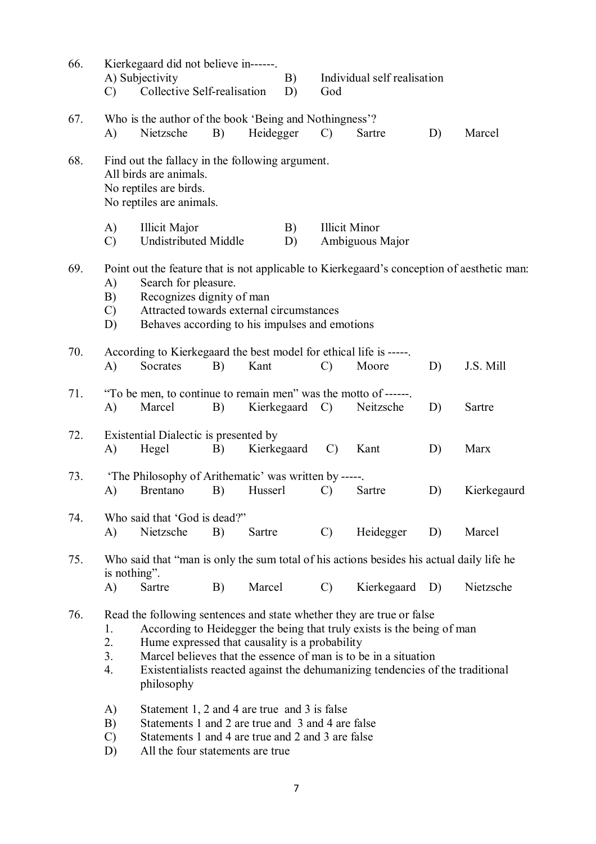| 66. | $\mathcal{C}$                                                                                                                                                                                                                                                                                                                                                                                | Kierkegaard did not believe in------.<br>A) Subjectivity<br>Collective Self-realisation                                                                                                    |    |           | B)<br>D)       | God           | Individual self realisation             |           |             |
|-----|----------------------------------------------------------------------------------------------------------------------------------------------------------------------------------------------------------------------------------------------------------------------------------------------------------------------------------------------------------------------------------------------|--------------------------------------------------------------------------------------------------------------------------------------------------------------------------------------------|----|-----------|----------------|---------------|-----------------------------------------|-----------|-------------|
| 67. | A)                                                                                                                                                                                                                                                                                                                                                                                           | Who is the author of the book 'Being and Nothingness'?<br>Nietzsche                                                                                                                        | B) | Heidegger |                | $\mathcal{C}$ | Sartre                                  | D)        | Marcel      |
| 68. |                                                                                                                                                                                                                                                                                                                                                                                              | Find out the fallacy in the following argument.<br>All birds are animals.<br>No reptiles are birds.<br>No reptiles are animals.                                                            |    |           |                |               |                                         |           |             |
|     | A)<br>$\mathcal{C}$                                                                                                                                                                                                                                                                                                                                                                          | <b>Illicit Major</b><br><b>Undistributed Middle</b>                                                                                                                                        |    |           | B)<br>D)       |               | <b>Illicit Minor</b><br>Ambiguous Major |           |             |
| 69. | Point out the feature that is not applicable to Kierkegaard's conception of aesthetic man:<br>Search for pleasure.<br>A)<br>Recognizes dignity of man<br>B)<br>Attracted towards external circumstances<br>$\mathcal{C}$<br>Behaves according to his impulses and emotions<br>D)                                                                                                             |                                                                                                                                                                                            |    |           |                |               |                                         |           |             |
| 70. | A)                                                                                                                                                                                                                                                                                                                                                                                           | According to Kierkegaard the best model for ethical life is -----.<br>Socrates                                                                                                             | B) | Kant      |                | $\mathcal{C}$ | Moore                                   | D)        | J.S. Mill   |
| 71. | A)                                                                                                                                                                                                                                                                                                                                                                                           | "To be men, to continue to remain men" was the motto of ------<br>Marcel                                                                                                                   | B) |           | Kierkegaard C) |               | Neitzsche                               | D)        | Sartre      |
| 72. | A)                                                                                                                                                                                                                                                                                                                                                                                           | Existential Dialectic is presented by<br>Hegel                                                                                                                                             | B) |           | Kierkegaard    | $\mathcal{C}$ | Kant                                    | D)        | Marx        |
| 73. | A)                                                                                                                                                                                                                                                                                                                                                                                           | 'The Philosophy of Arithematic' was written by -----.<br><b>Brentano</b>                                                                                                                   | B) | Husserl   |                | $\mathcal{C}$ | Sartre                                  | D)        | Kierkegaurd |
| 74. | A)                                                                                                                                                                                                                                                                                                                                                                                           | Who said that 'God is dead?"<br>Nietzsche                                                                                                                                                  | B) | Sartre    |                | $\mathcal{C}$ | Heidegger                               | D)        | Marcel      |
| 75. | Who said that "man is only the sum total of his actions besides his actual daily life he<br>is nothing".<br>Marcel<br>A)<br>Sartre<br>$\mathcal{C}$<br>Kierkegaard D)<br>B)                                                                                                                                                                                                                  |                                                                                                                                                                                            |    |           |                |               |                                         | Nietzsche |             |
| 76. | Read the following sentences and state whether they are true or false<br>According to Heidegger the being that truly exists is the being of man<br>1.<br>2.<br>Hume expressed that causality is a probability<br>Marcel believes that the essence of man is to be in a situation<br>3.<br>4.<br>Existentialists reacted against the dehumanizing tendencies of the traditional<br>philosophy |                                                                                                                                                                                            |    |           |                |               |                                         |           |             |
|     | A)<br>B)<br>$\mathcal{C}$<br>D)                                                                                                                                                                                                                                                                                                                                                              | Statement 1, 2 and 4 are true and 3 is false<br>Statements 1 and 2 are true and 3 and 4 are false<br>Statements 1 and 4 are true and 2 and 3 are false<br>All the four statements are true |    |           |                |               |                                         |           |             |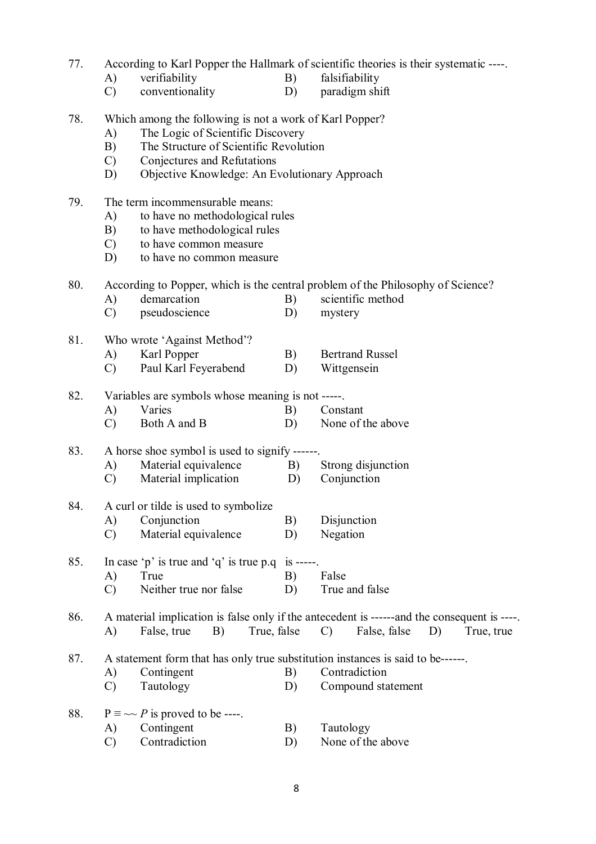- 77. According to Karl Popper the Hallmark of scientific theories is their systematic ----.
	- A) verifiability B) falsifiability
	- C) conventionality D) paradigm shift
- 78. Which among the following is not a work of Karl Popper?
	- A) The Logic of Scientific Discovery
	- B) The Structure of Scientific Revolution
	- C) Conjectures and Refutations
	- D) Objective Knowledge: An Evolutionary Approach
- 79. The term incommensurable means:
	- A) to have no methodological rules
	- B) to have methodological rules
	- C) to have common measure
	- D) to have no common measure

80. According to Popper, which is the central problem of the Philosophy of Science?

- A) demarcation B) scientific method
- C) pseudoscience D) mystery
- 81. Who wrote 'Against Method'?
	- A) Karl Popper B) Bertrand Russel
	- C) Paul Karl Feyerabend D) Wittgensein

82. Variables are symbols whose meaning is not -----.

- A) Varies B) Constant
- C) Both A and B D) None of the above

83. A horse shoe symbol is used to signify ------

- A) Material equivalence B) Strong disjunction
- C) Material implication D) Conjunction

# 84. A curl or tilde is used to symbolize

- A) Conjunction B) Disjunction<br>C) Material equivalence D) Negation
- $(C)$  Material equivalence  $(D)$
- 85. In case 'p' is true and 'q' is true p.q is -----. A) True B) False C) Neither true nor false D) True and false

86. A material implication is false only if the antecedent is ------and the consequent is ----. A) False, true B) True, false C) False, false D) True, true

87. A statement form that has only true substitution instances is said to be------.

- A) Contingent B) Contradiction<br>
C) Tautology D) Compound sta
- C) Tautology D) Compound statement

| 88. | $P \equiv \sim P$ is proved to be ----. |
|-----|-----------------------------------------|
|     |                                         |

- A) Contingent B) Tautology
- C) Contradiction D) None of the above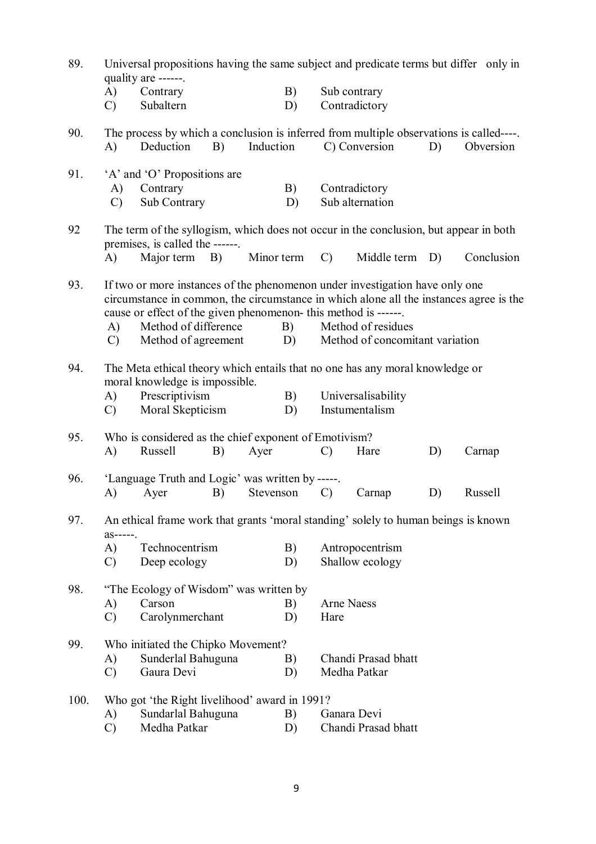| 89.  |                                                                                                                                                                                                                                           | quality are ------.                                   |    |            | Universal propositions having the same subject and predicate terms but differ only in |                 |                                                                                         |    |            |  |
|------|-------------------------------------------------------------------------------------------------------------------------------------------------------------------------------------------------------------------------------------------|-------------------------------------------------------|----|------------|---------------------------------------------------------------------------------------|-----------------|-----------------------------------------------------------------------------------------|----|------------|--|
|      | $\mathbf{A}$<br>$\mathcal{C}$                                                                                                                                                                                                             | Contrary<br>Subaltern                                 |    |            | B)<br>D)                                                                              |                 | Sub contrary<br>Contradictory                                                           |    |            |  |
| 90.  |                                                                                                                                                                                                                                           |                                                       |    |            |                                                                                       |                 | The process by which a conclusion is inferred from multiple observations is called----. |    |            |  |
|      | A)                                                                                                                                                                                                                                        | Deduction                                             | B) | Induction  |                                                                                       |                 | C) Conversion                                                                           | D) | Obversion  |  |
| 91.  |                                                                                                                                                                                                                                           | 'A' and 'O' Propositions are                          |    |            |                                                                                       |                 |                                                                                         |    |            |  |
|      | A)<br>$\mathcal{C}$                                                                                                                                                                                                                       | Contrary<br>Sub Contrary                              |    |            | B)<br>D)                                                                              |                 | Contradictory<br>Sub alternation                                                        |    |            |  |
| 92   | The term of the syllogism, which does not occur in the conclusion, but appear in both                                                                                                                                                     |                                                       |    |            |                                                                                       |                 |                                                                                         |    |            |  |
|      | $\bf{A}$                                                                                                                                                                                                                                  | premises, is called the ------<br>Major term B)       |    | Minor term |                                                                                       | $\mathcal{C}$ ) | Middle term D)                                                                          |    | Conclusion |  |
|      |                                                                                                                                                                                                                                           |                                                       |    |            |                                                                                       |                 |                                                                                         |    |            |  |
| 93.  | If two or more instances of the phenomenon under investigation have only one<br>circumstance in common, the circumstance in which alone all the instances agree is the<br>cause or effect of the given phenomenon- this method is ------. |                                                       |    |            |                                                                                       |                 |                                                                                         |    |            |  |
|      | A)<br>$\mathcal{C}$                                                                                                                                                                                                                       | Method of difference<br>Method of agreement           |    |            | B)<br>D)                                                                              |                 | Method of residues<br>Method of concomitant variation                                   |    |            |  |
|      |                                                                                                                                                                                                                                           |                                                       |    |            |                                                                                       |                 |                                                                                         |    |            |  |
| 94.  |                                                                                                                                                                                                                                           | moral knowledge is impossible.                        |    |            |                                                                                       |                 | The Meta ethical theory which entails that no one has any moral knowledge or            |    |            |  |
|      | A)                                                                                                                                                                                                                                        | Prescriptivism                                        |    |            | B)                                                                                    |                 | Universalisability                                                                      |    |            |  |
|      | $\mathcal{C}$                                                                                                                                                                                                                             | Moral Skepticism                                      |    |            | D)                                                                                    |                 | Instumentalism                                                                          |    |            |  |
| 95.  |                                                                                                                                                                                                                                           | Who is considered as the chief exponent of Emotivism? |    |            |                                                                                       |                 |                                                                                         |    |            |  |
|      | A)                                                                                                                                                                                                                                        | Russell                                               | B) | Ayer       |                                                                                       | $\mathcal{C}$   | Hare                                                                                    | D) | Carnap     |  |
| 96.  | 'Language Truth and Logic' was written by -----.                                                                                                                                                                                          |                                                       |    |            |                                                                                       |                 |                                                                                         |    |            |  |
|      | A)                                                                                                                                                                                                                                        | Ayer                                                  | B) | Stevenson  |                                                                                       | $\mathcal{C}$   | Carnap                                                                                  | D) | Russell    |  |
| 97.  |                                                                                                                                                                                                                                           |                                                       |    |            |                                                                                       |                 | An ethical frame work that grants 'moral standing' solely to human beings is known      |    |            |  |
|      | $as---$ .<br>A)                                                                                                                                                                                                                           | Technocentrism                                        |    |            | B)<br>Antropocentrism                                                                 |                 |                                                                                         |    |            |  |
|      | $\mathcal{C}$                                                                                                                                                                                                                             | Deep ecology                                          |    |            | D)                                                                                    |                 | Shallow ecology                                                                         |    |            |  |
| 98.  |                                                                                                                                                                                                                                           | "The Ecology of Wisdom" was written by                |    |            |                                                                                       |                 |                                                                                         |    |            |  |
|      | A)                                                                                                                                                                                                                                        | Carson                                                |    |            | B)                                                                                    |                 | <b>Arne Naess</b>                                                                       |    |            |  |
|      | $\mathcal{C}$                                                                                                                                                                                                                             | Carolynmerchant                                       |    |            | D)                                                                                    | Hare            |                                                                                         |    |            |  |
| 99.  |                                                                                                                                                                                                                                           | Who initiated the Chipko Movement?                    |    |            |                                                                                       |                 |                                                                                         |    |            |  |
|      | A)                                                                                                                                                                                                                                        | Sunderlal Bahuguna                                    |    |            | B)                                                                                    |                 | Chandi Prasad bhatt                                                                     |    |            |  |
|      | $\mathcal{C}$                                                                                                                                                                                                                             | Gaura Devi                                            |    |            | D)                                                                                    |                 | Medha Patkar                                                                            |    |            |  |
| 100. |                                                                                                                                                                                                                                           | Who got 'the Right livelihood' award in 1991?         |    |            |                                                                                       |                 |                                                                                         |    |            |  |
|      | A)                                                                                                                                                                                                                                        | Sundarlal Bahuguna                                    |    |            | B)                                                                                    |                 | Ganara Devi                                                                             |    |            |  |
|      | $\mathcal{C}$                                                                                                                                                                                                                             | Medha Patkar                                          |    |            | D)                                                                                    |                 | Chandi Prasad bhatt                                                                     |    |            |  |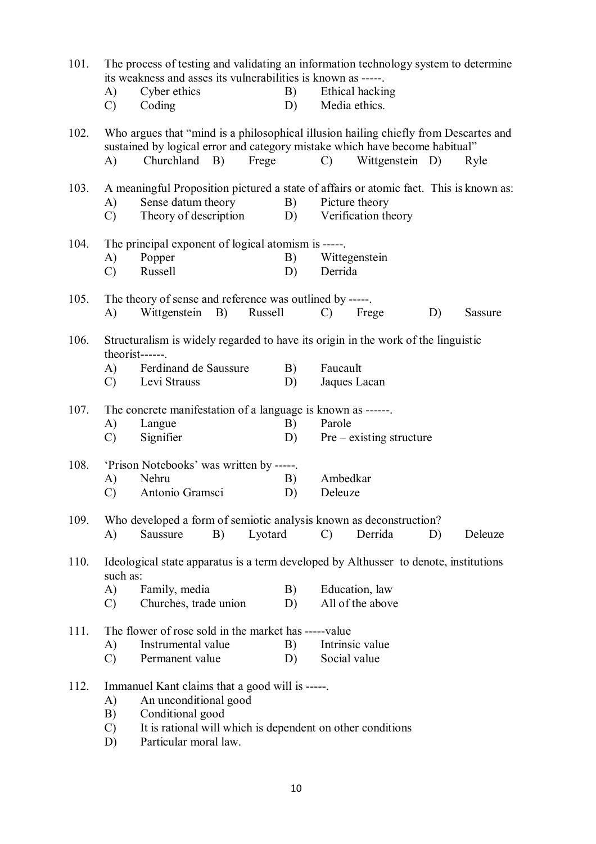| 101. | its weakness and asses its vulnerabilities is known as -----.<br>Cyber ethics<br>B)<br>A)        |                                                                                                                                                                                      |         |                                                                                                                                       | The process of testing and validating an information technology system to determine<br>Ethical hacking |                            |    |                |  |  |  |
|------|--------------------------------------------------------------------------------------------------|--------------------------------------------------------------------------------------------------------------------------------------------------------------------------------------|---------|---------------------------------------------------------------------------------------------------------------------------------------|--------------------------------------------------------------------------------------------------------|----------------------------|----|----------------|--|--|--|
|      | $\mathcal{C}$                                                                                    | Coding                                                                                                                                                                               |         | D)                                                                                                                                    |                                                                                                        | Media ethics.              |    |                |  |  |  |
| 102. | A)                                                                                               | Who argues that "mind is a philosophical illusion hailing chiefly from Descartes and<br>sustained by logical error and category mistake which have become habitual"<br>Churchland B) | Frege   |                                                                                                                                       | $\mathcal{C}$                                                                                          | Wittgenstein D)            |    | Ryle           |  |  |  |
|      |                                                                                                  |                                                                                                                                                                                      |         |                                                                                                                                       |                                                                                                        |                            |    |                |  |  |  |
| 103. | A)<br>C)                                                                                         | Sense datum theory<br>Theory of description                                                                                                                                          |         | A meaningful Proposition pictured a state of affairs or atomic fact. This is known as:<br>Picture theory<br>Verification theory<br>D) |                                                                                                        |                            |    |                |  |  |  |
| 104. |                                                                                                  | The principal exponent of logical atomism is -----                                                                                                                                   |         |                                                                                                                                       |                                                                                                        |                            |    |                |  |  |  |
|      | A)                                                                                               | Popper                                                                                                                                                                               |         | B)                                                                                                                                    |                                                                                                        | Wittegenstein              |    |                |  |  |  |
|      | $\mathcal{C}$                                                                                    | Russell                                                                                                                                                                              |         | D)                                                                                                                                    | Derrida                                                                                                |                            |    |                |  |  |  |
| 105. |                                                                                                  | The theory of sense and reference was outlined by -----.                                                                                                                             |         |                                                                                                                                       |                                                                                                        |                            |    |                |  |  |  |
|      | A)                                                                                               | Wittgenstein<br><b>B</b> )                                                                                                                                                           | Russell |                                                                                                                                       | $\mathcal{C}$                                                                                          | Frege                      | D) | <b>Sassure</b> |  |  |  |
| 106. |                                                                                                  | Structuralism is widely regarded to have its origin in the work of the linguistic<br>theorist------.                                                                                 |         |                                                                                                                                       |                                                                                                        |                            |    |                |  |  |  |
|      | A)                                                                                               | Ferdinand de Saussure                                                                                                                                                                |         | B)                                                                                                                                    | Faucault                                                                                               |                            |    |                |  |  |  |
|      | $\mathcal{C}$                                                                                    | Levi Strauss                                                                                                                                                                         |         | D)                                                                                                                                    |                                                                                                        | Jaques Lacan               |    |                |  |  |  |
| 107. |                                                                                                  | The concrete manifestation of a language is known as ------                                                                                                                          |         |                                                                                                                                       |                                                                                                        |                            |    |                |  |  |  |
|      | A)                                                                                               | Langue                                                                                                                                                                               |         | B)                                                                                                                                    | Parole                                                                                                 |                            |    |                |  |  |  |
|      | $\mathcal{C}$                                                                                    | Signifier                                                                                                                                                                            |         | D)                                                                                                                                    |                                                                                                        | $Pre - existing structure$ |    |                |  |  |  |
|      |                                                                                                  |                                                                                                                                                                                      |         |                                                                                                                                       |                                                                                                        |                            |    |                |  |  |  |
| 108. | A)                                                                                               | 'Prison Notebooks' was written by -----.<br>Nehru                                                                                                                                    |         | B)                                                                                                                                    | Ambedkar                                                                                               |                            |    |                |  |  |  |
|      | $\mathcal{C}$                                                                                    | Antonio Gramsci                                                                                                                                                                      |         | D)                                                                                                                                    | Deleuze                                                                                                |                            |    |                |  |  |  |
|      |                                                                                                  |                                                                                                                                                                                      |         |                                                                                                                                       |                                                                                                        |                            |    |                |  |  |  |
| 109. | A)                                                                                               | Who developed a form of semiotic analysis known as deconstruction?<br>Saussure<br>B)                                                                                                 | Lyotard |                                                                                                                                       | $\mathcal{C}$                                                                                          | Derrida                    | D) | Deleuze        |  |  |  |
| 110. |                                                                                                  |                                                                                                                                                                                      |         |                                                                                                                                       |                                                                                                        |                            |    |                |  |  |  |
|      | Ideological state apparatus is a term developed by Althusser to denote, institutions<br>such as: |                                                                                                                                                                                      |         |                                                                                                                                       |                                                                                                        |                            |    |                |  |  |  |
|      | A)                                                                                               | Family, media                                                                                                                                                                        |         | B)                                                                                                                                    |                                                                                                        | Education, law             |    |                |  |  |  |
|      | $\mathcal{C}$                                                                                    | Churches, trade union                                                                                                                                                                |         | D)                                                                                                                                    |                                                                                                        | All of the above           |    |                |  |  |  |
| 111. |                                                                                                  | The flower of rose sold in the market has -----value                                                                                                                                 |         |                                                                                                                                       |                                                                                                        |                            |    |                |  |  |  |
|      | A)                                                                                               | Instrumental value                                                                                                                                                                   |         | B)                                                                                                                                    |                                                                                                        | Intrinsic value            |    |                |  |  |  |
|      | $\mathcal{C}$                                                                                    | Permanent value                                                                                                                                                                      |         | D)                                                                                                                                    | Social value                                                                                           |                            |    |                |  |  |  |
|      |                                                                                                  |                                                                                                                                                                                      |         |                                                                                                                                       |                                                                                                        |                            |    |                |  |  |  |
| 112. | A)                                                                                               | Immanuel Kant claims that a good will is -----.<br>An unconditional good                                                                                                             |         |                                                                                                                                       |                                                                                                        |                            |    |                |  |  |  |
|      | B)                                                                                               | Conditional good                                                                                                                                                                     |         |                                                                                                                                       |                                                                                                        |                            |    |                |  |  |  |
|      | $\mathcal{C}$                                                                                    | It is rational will which is dependent on other conditions                                                                                                                           |         |                                                                                                                                       |                                                                                                        |                            |    |                |  |  |  |
|      | D)                                                                                               | Particular moral law.                                                                                                                                                                |         |                                                                                                                                       |                                                                                                        |                            |    |                |  |  |  |